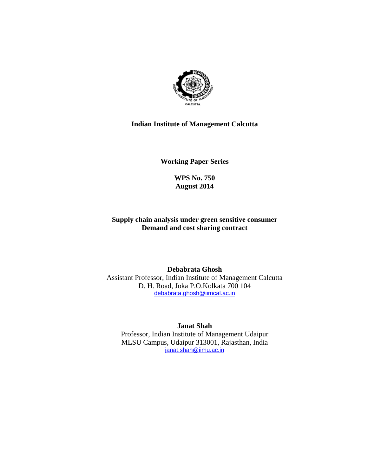

### **Indian Institute of Management Calcutta**

**Working Paper Series** 

**WPS No. 750 August 2014**

### **Supply chain analysis under green sensitive consumer Demand and cost sharing contract**

**Debabrata Ghosh**  Assistant Professor, Indian Institute of Management Calcutta D. H. Road, Joka P.O.Kolkata 700 104 debabrata.ghosh@iimcal.ac.in

**Janat Shah**  Professor, Indian Institute of Management Udaipur MLSU Campus, Udaipur 313001, Rajasthan, India janat.shah@iimu.ac.in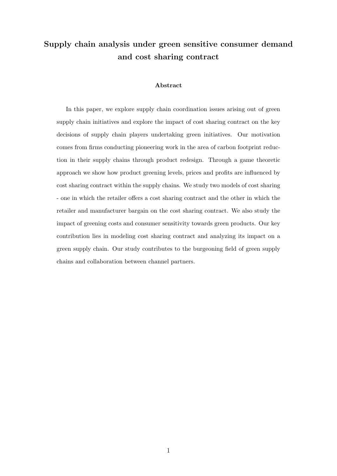# Supply chain analysis under green sensitive consumer demand and cost sharing contract

#### Abstract

In this paper, we explore supply chain coordination issues arising out of green supply chain initiatives and explore the impact of cost sharing contract on the key decisions of supply chain players undertaking green initiatives. Our motivation comes from firms conducting pioneering work in the area of carbon footprint reduction in their supply chains through product redesign. Through a game theoretic approach we show how product greening levels, prices and profits are influenced by cost sharing contract within the supply chains. We study two models of cost sharing - one in which the retailer offers a cost sharing contract and the other in which the retailer and manufacturer bargain on the cost sharing contract. We also study the impact of greening costs and consumer sensitivity towards green products. Our key contribution lies in modeling cost sharing contract and analyzing its impact on a green supply chain. Our study contributes to the burgeoning field of green supply chains and collaboration between channel partners.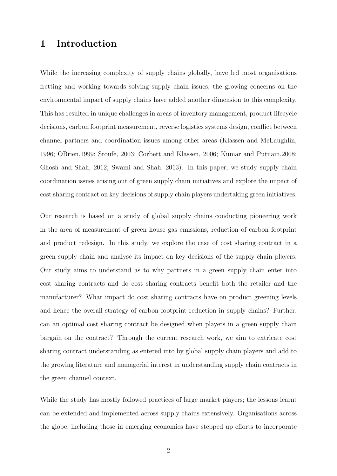# 1 Introduction

While the increasing complexity of supply chains globally, have led most organisations fretting and working towards solving supply chain issues; the growing concerns on the environmental impact of supply chains have added another dimension to this complexity. This has resulted in unique challenges in areas of inventory management, product lifecycle decisions, carbon footprint measurement, reverse logistics systems design, conflict between channel partners and coordination issues among other areas (Klassen and McLaughlin, 1996; OBrien,1999; Sroufe, 2003; Corbett and Klassen, 2006; Kumar and Putnam,2008; Ghosh and Shah, 2012; Swami and Shah, 2013). In this paper, we study supply chain coordination issues arising out of green supply chain initiatives and explore the impact of cost sharing contract on key decisions of supply chain players undertaking green initiatives.

Our research is based on a study of global supply chains conducting pioneering work in the area of measurement of green house gas emissions, reduction of carbon footprint and product redesign. In this study, we explore the case of cost sharing contract in a green supply chain and analyse its impact on key decisions of the supply chain players. Our study aims to understand as to why partners in a green supply chain enter into cost sharing contracts and do cost sharing contracts benefit both the retailer and the manufacturer? What impact do cost sharing contracts have on product greening levels and hence the overall strategy of carbon footprint reduction in supply chains? Further, can an optimal cost sharing contract be designed when players in a green supply chain bargain on the contract? Through the current research work, we aim to extricate cost sharing contract understanding as entered into by global supply chain players and add to the growing literature and managerial interest in understanding supply chain contracts in the green channel context.

While the study has mostly followed practices of large market players; the lessons learnt can be extended and implemented across supply chains extensively. Organisations across the globe, including those in emerging economies have stepped up efforts to incorporate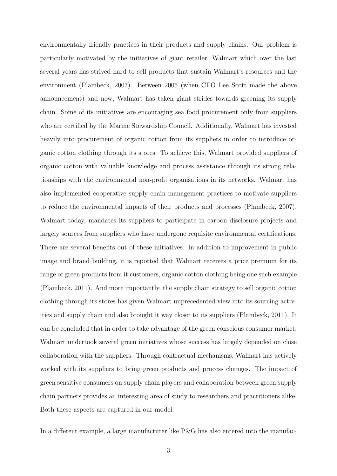environmentally friendly practices in their products and supply chains. Our problem is particularly motivated by the initiatives of giant retailer; Walmart which over the last several years has strived hard to sell products that sustain Walmart's resources and the environment (Plambeck, 2007). Between 2005 (when CEO Lee Scott made the above announcement) and now, Walmart has taken giant strides towards greening its supply chain. Some of its initiatives are encouraging sea food procurement only from suppliers who are certified by the Marine Stewardship Council. Additionally, Walmart has invested heavily into procurement of organic cotton from its suppliers in order to introduce organic cotton clothing through its stores. To achieve this, Walmart provided suppliers of organic cotton with valuable knowledge and process assistance through its strong relationships with the environmental non-profit organisations in its networks. Walmart has also implemented cooperative supply chain management practices to motivate suppliers to reduce the environmental impacts of their products and processes (Plambeck, 2007). Walmart today, mandates its suppliers to participate in carbon disclosure projects and largely sources from suppliers who have undergone requisite environmental certifications. There are several benefits out of these initiatives. In addition to improvement in public image and brand building, it is reported that Walmart receives a price premium for its range of green products from it customers, organic cotton clothing being one such example (Plambeck, 2011). And more importantly, the supply chain strategy to sell organic cotton clothing through its stores has given Walmart unprecedented view into its sourcing activities and supply chain and also brought it way closer to its suppliers (Plambeck, 2011). It can be concluded that in order to take advantage of the green conscious consumer market, Walmart undertook several green initiatives whose success has largely depended on close collaboration with the suppliers. Through contractual mechanisms, Walmart has actively worked with its suppliers to bring green products and process changes. The impact of green sensitive consumers on supply chain players and collaboration between green supply chain partners provides an interesting area of study to researchers and practitioners alike. Both these aspects are captured in our model.

In a different example, a large manufacturer like P&G has also entered into the manufac-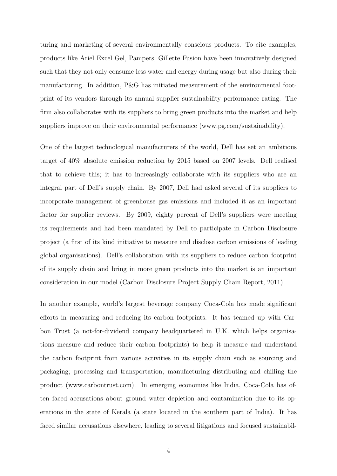turing and marketing of several environmentally conscious products. To cite examples, products like Ariel Excel Gel, Pampers, Gillette Fusion have been innovatively designed such that they not only consume less water and energy during usage but also during their manufacturing. In addition, P&G has initiated measurement of the environmental footprint of its vendors through its annual supplier sustainability performance rating. The firm also collaborates with its suppliers to bring green products into the market and help suppliers improve on their environmental performance (www.pg.com/sustainability).

One of the largest technological manufacturers of the world, Dell has set an ambitious target of 40% absolute emission reduction by 2015 based on 2007 levels. Dell realised that to achieve this; it has to increasingly collaborate with its suppliers who are an integral part of Dell's supply chain. By 2007, Dell had asked several of its suppliers to incorporate management of greenhouse gas emissions and included it as an important factor for supplier reviews. By 2009, eighty percent of Dell's suppliers were meeting its requirements and had been mandated by Dell to participate in Carbon Disclosure project (a first of its kind initiative to measure and disclose carbon emissions of leading global organisations). Dell's collaboration with its suppliers to reduce carbon footprint of its supply chain and bring in more green products into the market is an important consideration in our model (Carbon Disclosure Project Supply Chain Report, 2011).

In another example, world's largest beverage company Coca-Cola has made significant efforts in measuring and reducing its carbon footprints. It has teamed up with Carbon Trust (a not-for-dividend company headquartered in U.K. which helps organisations measure and reduce their carbon footprints) to help it measure and understand the carbon footprint from various activities in its supply chain such as sourcing and packaging; processing and transportation; manufacturing distributing and chilling the product (www.carbontrust.com). In emerging economies like India, Coca-Cola has often faced accusations about ground water depletion and contamination due to its operations in the state of Kerala (a state located in the southern part of India). It has faced similar accusations elsewhere, leading to several litigations and focused sustainabil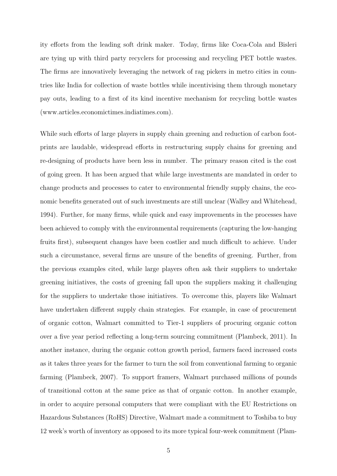ity efforts from the leading soft drink maker. Today, firms like Coca-Cola and Bisleri are tying up with third party recyclers for processing and recycling PET bottle wastes. The firms are innovatively leveraging the network of rag pickers in metro cities in countries like India for collection of waste bottles while incentivising them through monetary pay outs, leading to a first of its kind incentive mechanism for recycling bottle wastes (www.articles.economictimes.indiatimes.com).

While such efforts of large players in supply chain greening and reduction of carbon footprints are laudable, widespread efforts in restructuring supply chains for greening and re-designing of products have been less in number. The primary reason cited is the cost of going green. It has been argued that while large investments are mandated in order to change products and processes to cater to environmental friendly supply chains, the economic benefits generated out of such investments are still unclear (Walley and Whitehead, 1994). Further, for many firms, while quick and easy improvements in the processes have been achieved to comply with the environmental requirements (capturing the low-hanging fruits first), subsequent changes have been costlier and much difficult to achieve. Under such a circumstance, several firms are unsure of the benefits of greening. Further, from the previous examples cited, while large players often ask their suppliers to undertake greening initiatives, the costs of greening fall upon the suppliers making it challenging for the suppliers to undertake those initiatives. To overcome this, players like Walmart have undertaken different supply chain strategies. For example, in case of procurement of organic cotton, Walmart committed to Tier-1 suppliers of procuring organic cotton over a five year period reflecting a long-term sourcing commitment (Plambeck, 2011). In another instance, during the organic cotton growth period, farmers faced increased costs as it takes three years for the farmer to turn the soil from conventional farming to organic farming (Plambeck, 2007). To support framers, Walmart purchased millions of pounds of transitional cotton at the same price as that of organic cotton. In another example, in order to acquire personal computers that were compliant with the EU Restrictions on Hazardous Substances (RoHS) Directive, Walmart made a commitment to Toshiba to buy 12 week's worth of inventory as opposed to its more typical four-week commitment (Plam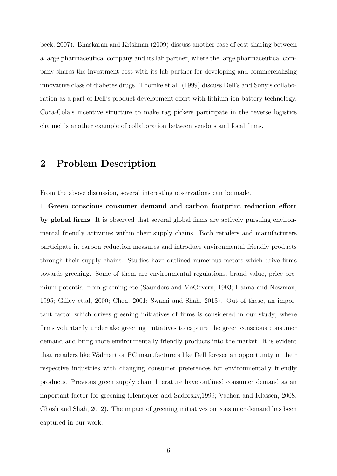beck, 2007). Bhaskaran and Krishnan (2009) discuss another case of cost sharing between a large pharmaceutical company and its lab partner, where the large pharmaceutical company shares the investment cost with its lab partner for developing and commercializing innovative class of diabetes drugs. Thomke et al. (1999) discuss Dell's and Sony's collaboration as a part of Dell's product development effort with lithium ion battery technology. Coca-Cola's incentive structure to make rag pickers participate in the reverse logistics channel is another example of collaboration between vendors and focal firms.

## 2 Problem Description

From the above discussion, several interesting observations can be made.

1. Green conscious consumer demand and carbon footprint reduction effort by global firms: It is observed that several global firms are actively pursuing environmental friendly activities within their supply chains. Both retailers and manufacturers participate in carbon reduction measures and introduce environmental friendly products through their supply chains. Studies have outlined numerous factors which drive firms towards greening. Some of them are environmental regulations, brand value, price premium potential from greening etc (Saunders and McGovern, 1993; Hanna and Newman, 1995; Gilley et.al, 2000; Chen, 2001; Swami and Shah, 2013). Out of these, an important factor which drives greening initiatives of firms is considered in our study; where firms voluntarily undertake greening initiatives to capture the green conscious consumer demand and bring more environmentally friendly products into the market. It is evident that retailers like Walmart or PC manufacturers like Dell foresee an opportunity in their respective industries with changing consumer preferences for environmentally friendly products. Previous green supply chain literature have outlined consumer demand as an important factor for greening (Henriques and Sadorsky,1999; Vachon and Klassen, 2008; Ghosh and Shah, 2012). The impact of greening initiatives on consumer demand has been captured in our work.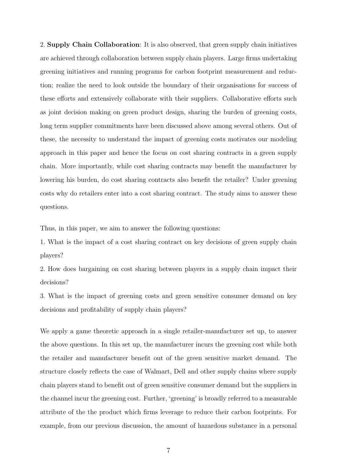2. Supply Chain Collaboration: It is also observed, that green supply chain initiatives are achieved through collaboration between supply chain players. Large firms undertaking greening initiatives and running programs for carbon footprint measurement and reduction; realize the need to look outside the boundary of their organisations for success of these efforts and extensively collaborate with their suppliers. Collaborative efforts such as joint decision making on green product design, sharing the burden of greening costs, long term supplier commitments have been discussed above among several others. Out of these, the necessity to understand the impact of greening costs motivates our modeling approach in this paper and hence the focus on cost sharing contracts in a green supply chain. More importantly, while cost sharing contracts may benefit the manufacturer by lowering his burden, do cost sharing contracts also benefit the retailer? Under greening costs why do retailers enter into a cost sharing contract. The study aims to answer these questions.

Thus, in this paper, we aim to answer the following questions:

1. What is the impact of a cost sharing contract on key decisions of green supply chain players?

2. How does bargaining on cost sharing between players in a supply chain impact their decisions?

3. What is the impact of greening costs and green sensitive consumer demand on key decisions and profitability of supply chain players?

We apply a game theoretic approach in a single retailer-manufacturer set up, to answer the above questions. In this set up, the manufacturer incurs the greening cost while both the retailer and manufacturer benefit out of the green sensitive market demand. The structure closely reflects the case of Walmart, Dell and other supply chains where supply chain players stand to benefit out of green sensitive consumer demand but the suppliers in the channel incur the greening cost. Further, 'greening' is broadly referred to a measurable attribute of the the product which firms leverage to reduce their carbon footprints. For example, from our previous discussion, the amount of hazardous substance in a personal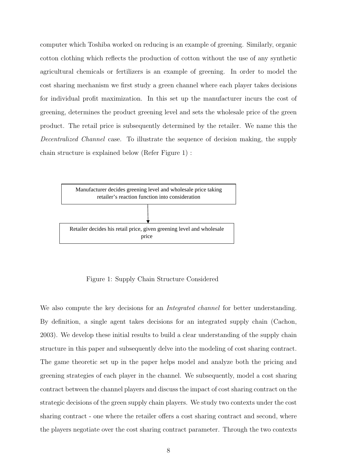computer which Toshiba worked on reducing is an example of greening. Similarly, organic cotton clothing which reflects the production of cotton without the use of any synthetic agricultural chemicals or fertilizers is an example of greening. In order to model the cost sharing mechanism we first study a green channel where each player takes decisions for individual profit maximization. In this set up the manufacturer incurs the cost of greening, determines the product greening level and sets the wholesale price of the green product. The retail price is subsequently determined by the retailer. We name this the Decentralized Channel case. To illustrate the sequence of decision making, the supply chain structure is explained below (Refer Figure 1) :



Figure 1: Supply Chain Structure Considered

We also compute the key decisions for an *Integrated channel* for better understanding. By definition, a single agent takes decisions for an integrated supply chain (Cachon, 2003). We develop these initial results to build a clear understanding of the supply chain structure in this paper and subsequently delve into the modeling of cost sharing contract. The game theoretic set up in the paper helps model and analyze both the pricing and greening strategies of each player in the channel. We subsequently, model a cost sharing contract between the channel players and discuss the impact of cost sharing contract on the strategic decisions of the green supply chain players. We study two contexts under the cost sharing contract - one where the retailer offers a cost sharing contract and second, where the players negotiate over the cost sharing contract parameter. Through the two contexts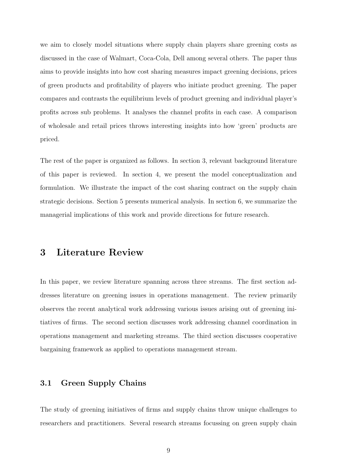we aim to closely model situations where supply chain players share greening costs as discussed in the case of Walmart, Coca-Cola, Dell among several others. The paper thus aims to provide insights into how cost sharing measures impact greening decisions, prices of green products and profitability of players who initiate product greening. The paper compares and contrasts the equilibrium levels of product greening and individual player's profits across sub problems. It analyses the channel profits in each case. A comparison of wholesale and retail prices throws interesting insights into how 'green' products are priced.

The rest of the paper is organized as follows. In section 3, relevant background literature of this paper is reviewed. In section 4, we present the model conceptualization and formulation. We illustrate the impact of the cost sharing contract on the supply chain strategic decisions. Section 5 presents numerical analysis. In section 6, we summarize the managerial implications of this work and provide directions for future research.

# 3 Literature Review

In this paper, we review literature spanning across three streams. The first section addresses literature on greening issues in operations management. The review primarily observes the recent analytical work addressing various issues arising out of greening initiatives of firms. The second section discusses work addressing channel coordination in operations management and marketing streams. The third section discusses cooperative bargaining framework as applied to operations management stream.

### 3.1 Green Supply Chains

The study of greening initiatives of firms and supply chains throw unique challenges to researchers and practitioners. Several research streams focussing on green supply chain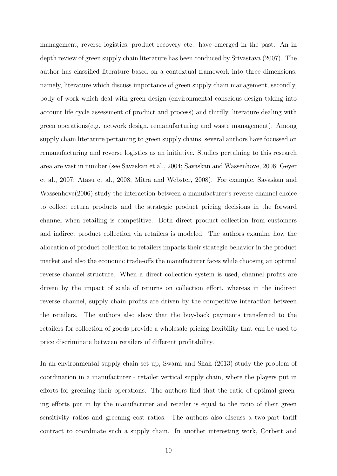management, reverse logistics, product recovery etc. have emerged in the past. An in depth review of green supply chain literature has been conduced by Srivastava (2007). The author has classified literature based on a contextual framework into three dimensions, namely, literature which discuss importance of green supply chain management, secondly, body of work which deal with green design (environmental conscious design taking into account life cycle assessment of product and process) and thirdly, literature dealing with green operations(e.g. network design, remanufacturing and waste management). Among supply chain literature pertaining to green supply chains, several authors have focussed on remanufacturing and reverse logistics as an initiative. Studies pertaining to this research area are vast in number (see Savaskan et al., 2004; Savaskan and Wassenhove, 2006; Geyer et al., 2007; Atasu et al., 2008; Mitra and Webster, 2008). For example, Savaskan and Wassenhove(2006) study the interaction between a manufacturer's reverse channel choice to collect return products and the strategic product pricing decisions in the forward channel when retailing is competitive. Both direct product collection from customers and indirect product collection via retailers is modeled. The authors examine how the allocation of product collection to retailers impacts their strategic behavior in the product market and also the economic trade-offs the manufacturer faces while choosing an optimal reverse channel structure. When a direct collection system is used, channel profits are driven by the impact of scale of returns on collection effort, whereas in the indirect reverse channel, supply chain profits are driven by the competitive interaction between the retailers. The authors also show that the buy-back payments transferred to the retailers for collection of goods provide a wholesale pricing flexibility that can be used to price discriminate between retailers of different profitability.

In an environmental supply chain set up, Swami and Shah (2013) study the problem of coordination in a manufacturer - retailer vertical supply chain, where the players put in efforts for greening their operations. The authors find that the ratio of optimal greening efforts put in by the manufacturer and retailer is equal to the ratio of their green sensitivity ratios and greening cost ratios. The authors also discuss a two-part tariff contract to coordinate such a supply chain. In another interesting work, Corbett and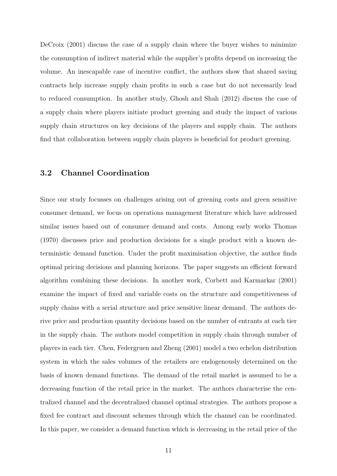DeCroix (2001) discuss the case of a supply chain where the buyer wishes to minimize the consumption of indirect material while the supplier's profits depend on increasing the volume. An inescapable case of incentive conflict, the authors show that shared saving contracts help increase supply chain profits in such a case but do not necessarily lead to reduced consumption. In another study, Ghosh and Shah (2012) discuss the case of a supply chain where players initiate product greening and study the impact of various supply chain structures on key decisions of the players and supply chain. The authors find that collaboration between supply chain players is beneficial for product greening.

### 3.2 Channel Coordination

Since our study focusses on challenges arising out of greening costs and green sensitive consumer demand, we focus on operations management literature which have addressed similar issues based out of consumer demand and costs. Among early works Thomas (1970) discusses price and production decisions for a single product with a known deterministic demand function. Under the profit maximisation objective, the author finds optimal pricing decisions and planning horizons. The paper suggests an efficient forward algorithm combining these decisions. In another work, Corbett and Karmarkar (2001) examine the impact of fixed and variable costs on the structure and competitiveness of supply chains with a serial structure and price sensitive linear demand. The authors derive price and production quantity decisions based on the number of entrants at each tier in the supply chain. The authors model competition in supply chain through number of players in each tier. Chen, Federgruen and Zheng (2001) model a two echelon distribution system in which the sales volumes of the retailers are endogenously determined on the basis of known demand functions. The demand of the retail market is assumed to be a decreasing function of the retail price in the market. The authors characterise the centralized channel and the decentralized channel optimal strategies. The authors propose a fixed fee contract and discount schemes through which the channel can be coordinated. In this paper, we consider a demand function which is decreasing in the retail price of the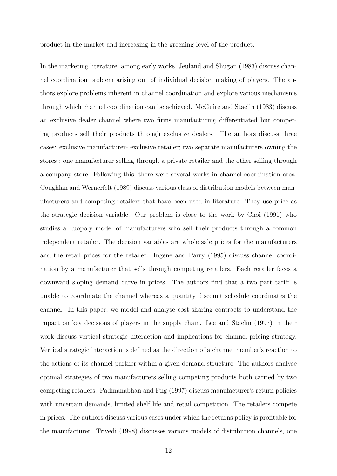product in the market and increasing in the greening level of the product.

In the marketing literature, among early works, Jeuland and Shugan (1983) discuss channel coordination problem arising out of individual decision making of players. The authors explore problems inherent in channel coordination and explore various mechanisms through which channel coordination can be achieved. McGuire and Staelin (1983) discuss an exclusive dealer channel where two firms manufacturing differentiated but competing products sell their products through exclusive dealers. The authors discuss three cases: exclusive manufacturer- exclusive retailer; two separate manufacturers owning the stores ; one manufacturer selling through a private retailer and the other selling through a company store. Following this, there were several works in channel coordination area. Coughlan and Wernerfelt (1989) discuss various class of distribution models between manufacturers and competing retailers that have been used in literature. They use price as the strategic decision variable. Our problem is close to the work by Choi (1991) who studies a duopoly model of manufacturers who sell their products through a common independent retailer. The decision variables are whole sale prices for the manufacturers and the retail prices for the retailer. Ingene and Parry (1995) discuss channel coordination by a manufacturer that sells through competing retailers. Each retailer faces a downward sloping demand curve in prices. The authors find that a two part tariff is unable to coordinate the channel whereas a quantity discount schedule coordinates the channel. In this paper, we model and analyse cost sharing contracts to understand the impact on key decisions of players in the supply chain. Lee and Staelin (1997) in their work discuss vertical strategic interaction and implications for channel pricing strategy. Vertical strategic interaction is defined as the direction of a channel member's reaction to the actions of its channel partner within a given demand structure. The authors analyse optimal strategies of two manufacturers selling competing products both carried by two competing retailers. Padmanabhan and Png (1997) discuss manufacturer's return policies with uncertain demands, limited shelf life and retail competition. The retailers compete in prices. The authors discuss various cases under which the returns policy is profitable for the manufacturer. Trivedi (1998) discusses various models of distribution channels, one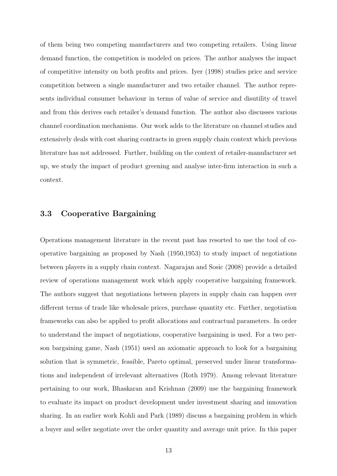of them being two competing manufacturers and two competing retailers. Using linear demand function, the competition is modeled on prices. The author analyses the impact of competitive intensity on both profits and prices. Iyer (1998) studies price and service competition between a single manufacturer and two retailer channel. The author represents individual consumer behaviour in terms of value of service and disutility of travel and from this derives each retailer's demand function. The author also discusses various channel coordination mechanisms. Our work adds to the literature on channel studies and extensively deals with cost sharing contracts in green supply chain context which previous literature has not addressed. Further, building on the context of retailer-manufacturer set up, we study the impact of product greening and analyse inter-firm interaction in such a context.

### 3.3 Cooperative Bargaining

Operations management literature in the recent past has resorted to use the tool of cooperative bargaining as proposed by Nash (1950,1953) to study impact of negotiations between players in a supply chain context. Nagarajan and Sosic (2008) provide a detailed review of operations management work which apply cooperative bargaining framework. The authors suggest that negotiations between players in supply chain can happen over different terms of trade like wholesale prices, purchase quantity etc. Further, negotiation frameworks can also be applied to profit allocations and contractual parameters. In order to understand the impact of negotiations, cooperative bargaining is used. For a two person bargaining game, Nash (1951) used an axiomatic approach to look for a bargaining solution that is symmetric, feasible, Pareto optimal, preserved under linear transformations and independent of irrelevant alternatives (Roth 1979). Among relevant literature pertaining to our work, Bhaskaran and Krishnan (2009) use the bargaining framework to evaluate its impact on product development under investment sharing and innovation sharing. In an earlier work Kohli and Park (1989) discuss a bargaining problem in which a buyer and seller negotiate over the order quantity and average unit price. In this paper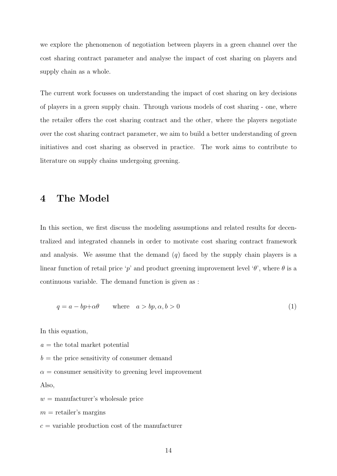we explore the phenomenon of negotiation between players in a green channel over the cost sharing contract parameter and analyse the impact of cost sharing on players and supply chain as a whole.

The current work focusses on understanding the impact of cost sharing on key decisions of players in a green supply chain. Through various models of cost sharing - one, where the retailer offers the cost sharing contract and the other, where the players negotiate over the cost sharing contract parameter, we aim to build a better understanding of green initiatives and cost sharing as observed in practice. The work aims to contribute to literature on supply chains undergoing greening.

## 4 The Model

In this section, we first discuss the modeling assumptions and related results for decentralized and integrated channels in order to motivate cost sharing contract framework and analysis. We assume that the demand  $(q)$  faced by the supply chain players is a linear function of retail price 'p' and product greening improvement level ' $\theta$ ', where  $\theta$  is a continuous variable. The demand function is given as :

$$
q = a - bp + \alpha\theta \qquad \text{where} \quad a > bp, \alpha, b > 0 \tag{1}
$$

In this equation,

 $a =$  the total market potential

 $b =$  the price sensitivity of consumer demand

 $\alpha$  = consumer sensitivity to greening level improvement

Also,

 $w =$  manufacturer's wholesale price

 $m =$  retailer's margins

 $c = \text{variable production cost of the manufacturer}$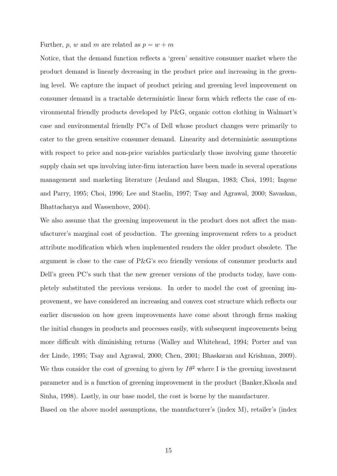Further, p, w and m are related as  $p = w + m$ 

Notice, that the demand function reflects a 'green' sensitive consumer market where the product demand is linearly decreasing in the product price and increasing in the greening level. We capture the impact of product pricing and greening level improvement on consumer demand in a tractable deterministic linear form which reflects the case of environmental friendly products developed by P&G, organic cotton clothing in Walmart's case and environmental friendly PC's of Dell whose product changes were primarily to cater to the green sensitive consumer demand. Linearity and deterministic assumptions with respect to price and non-price variables particularly those involving game theoretic supply chain set ups involving inter-firm interaction have been made in several operations management and marketing literature (Jeuland and Shugan, 1983; Choi, 1991; Ingene and Parry, 1995; Choi, 1996; Lee and Staelin, 1997; Tsay and Agrawal, 2000; Savaskan, Bhattacharya and Wassenhove, 2004).

We also assume that the greening improvement in the product does not affect the manufacturer's marginal cost of production. The greening improvement refers to a product attribute modification which when implemented renders the older product obsolete. The argument is close to the case of P&G's eco friendly versions of consumer products and Dell's green PC's such that the new greener versions of the products today, have completely substituted the previous versions. In order to model the cost of greening improvement, we have considered an increasing and convex cost structure which reflects our earlier discussion on how green improvements have come about through firms making the initial changes in products and processes easily, with subsequent improvements being more difficult with diminishing returns (Walley and Whitehead, 1994; Porter and van der Linde, 1995; Tsay and Agrawal, 2000; Chen, 2001; Bhaskaran and Krishnan, 2009). We thus consider the cost of greening to given by  $I\theta^2$  where I is the greening investment parameter and is a function of greening improvement in the product (Banker,Khosla and Sinha, 1998). Lastly, in our base model, the cost is borne by the manufacturer.

Based on the above model assumptions, the manufacturer's (index M), retailer's (index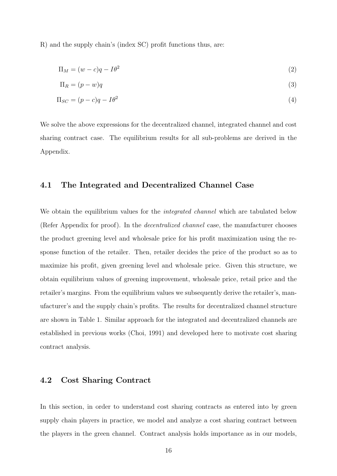R) and the supply chain's (index SC) profit functions thus, are:

$$
\Pi_M = (w - c)q - I\theta^2 \tag{2}
$$

$$
\Pi_R = (p - w)q \tag{3}
$$

$$
\Pi_{SC} = (p - c)q - I\theta^2 \tag{4}
$$

We solve the above expressions for the decentralized channel, integrated channel and cost sharing contract case. The equilibrium results for all sub-problems are derived in the Appendix.

### 4.1 The Integrated and Decentralized Channel Case

We obtain the equilibrium values for the *integrated channel* which are tabulated below (Refer Appendix for proof). In the decentralized channel case, the manufacturer chooses the product greening level and wholesale price for his profit maximization using the response function of the retailer. Then, retailer decides the price of the product so as to maximize his profit, given greening level and wholesale price. Given this structure, we obtain equilibrium values of greening improvement, wholesale price, retail price and the retailer's margins. From the equilibrium values we subsequently derive the retailer's, manufacturer's and the supply chain's profits. The results for decentralized channel structure are shown in Table 1. Similar approach for the integrated and decentralized channels are established in previous works (Choi, 1991) and developed here to motivate cost sharing contract analysis.

### 4.2 Cost Sharing Contract

In this section, in order to understand cost sharing contracts as entered into by green supply chain players in practice, we model and analyze a cost sharing contract between the players in the green channel. Contract analysis holds importance as in our models,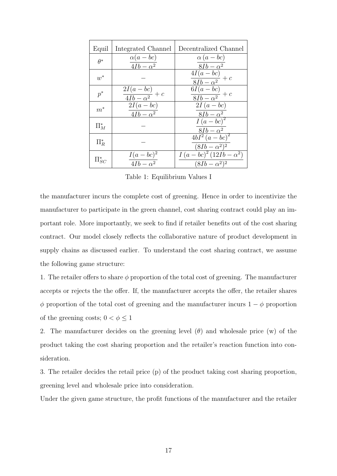| Equil        | Integrated Channel                | Decentralized Channel               |
|--------------|-----------------------------------|-------------------------------------|
| $\theta^*$   | $\alpha(a-bc)$                    | $\alpha (a - bc)$                   |
|              | $4Ib-\alpha^2$                    | $8Ib-\alpha^2$                      |
| $w^*$        |                                   | $\frac{4I(a-bc)}{8Ib-\alpha^2}+c$   |
|              |                                   |                                     |
| $p^*$        | $\frac{2I(a-bc)}{4Ib-\alpha^2}+c$ | $\frac{6I(a-bc)}{8Ib-\alpha^2} + c$ |
|              |                                   |                                     |
| $m^*$        | $2I(a-bc)$                        | $2I(a-bc)$                          |
|              | $4Ib-\alpha^2$                    | $8Ib-\alpha^2$                      |
| $\Pi_M^*$    |                                   | $I(a-bc)^2$                         |
|              |                                   | $8Ib-\alpha^2$                      |
| $\Pi_R^*$    |                                   | $4bI^2(a-bc)^2$                     |
|              |                                   | $(8Ib - \alpha^2)^2$                |
| $\Pi_{SC}^*$ | $I(a-bc)^2$                       | $I(a-bc)^{2}(12Ib-\alpha^{2})$      |
|              | $\overline{4Ib-\alpha^2}$         | $(8Ib - \alpha^2)^2$                |

Table 1: Equilibrium Values I

the manufacturer incurs the complete cost of greening. Hence in order to incentivize the manufacturer to participate in the green channel, cost sharing contract could play an important role. More importantly, we seek to find if retailer benefits out of the cost sharing contract. Our model closely reflects the collaborative nature of product development in supply chains as discussed earlier. To understand the cost sharing contract, we assume the following game structure:

1. The retailer offers to share  $\phi$  proportion of the total cost of greening. The manufacturer accepts or rejects the the offer. If, the manufacturer accepts the offer, the retailer shares  $\phi$  proportion of the total cost of greening and the manufacturer incurs  $1 - \phi$  proportion of the greening costs;  $0<\phi\leq 1$ 

2. The manufacturer decides on the greening level  $(\theta)$  and wholesale price (w) of the product taking the cost sharing proportion and the retailer's reaction function into consideration.

3. The retailer decides the retail price (p) of the product taking cost sharing proportion, greening level and wholesale price into consideration.

Under the given game structure, the profit functions of the manufacturer and the retailer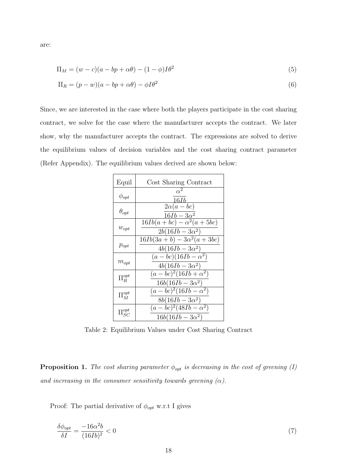are:

$$
\Pi_M = (w - c)(a - bp + \alpha\theta) - (1 - \phi)I\theta^2
$$
\n(5)

$$
\Pi_R = (p - w)(a - bp + \alpha\theta) - \phi I \theta^2 \tag{6}
$$

Since, we are interested in the case where both the players participate in the cost sharing contract, we solve for the case where the manufacturer accepts the contract. We later show, why the manufacturer accepts the contract. The expressions are solved to derive the equilibrium values of decision variables and the cost sharing contract parameter (Refer Appendix). The equilibrium values derived are shown below:

| Equil          | Cost Sharing Contract                                                         |
|----------------|-------------------------------------------------------------------------------|
| $\phi_{opt}$   | $\alpha^2$<br>16 <i>Ib</i>                                                    |
| $\theta_{opt}$ | $2\alpha(a-bc)$                                                               |
| $w_{opt}$      | $\frac{16Ib-3\alpha^2}{16Ib(a+bc)-\alpha^2(a+5bc)}$<br>$2b(16Ib - 3\alpha^2)$ |
| $p_{opt}$      | $16Ib(3a + b) - 3\alpha^2(a + 3bc)$<br>$4b(16Ib - 3\alpha^2)$                 |
| $m_{opt}$      | $(a - bc)(16Ib - \alpha^2)$<br>$4b(16Ib - 3\alpha^2)$                         |
| $\Pi^{opt}_R$  | $(a - bc)^2 (16Ib + \alpha^2)$<br>$16b(16Ib - 3\alpha^2)$                     |
| $\Pi^{opt}_M$  | $(a - bc)^2 (16Ib - \alpha^2)$<br>$8b(16Ib - 3\alpha^2)$                      |
|                | $(a - bc)^2 (48Ib - \alpha^2)$<br>$16b(16Ib - 3\alpha^2)$                     |

Table 2: Equilibrium Values under Cost Sharing Contract

**Proposition 1.** The cost sharing parameter  $\phi_{opt}$  is decreasing in the cost of greening (I) and increasing in the consumer sensitivity towards greening  $(\alpha)$ .

Proof: The partial derivative of  $\phi_{opt}$  w.r.t I gives

$$
\frac{\delta \phi_{opt}}{\delta I} = \frac{-16\alpha^2 b}{(16Ib)^2} < 0\tag{7}
$$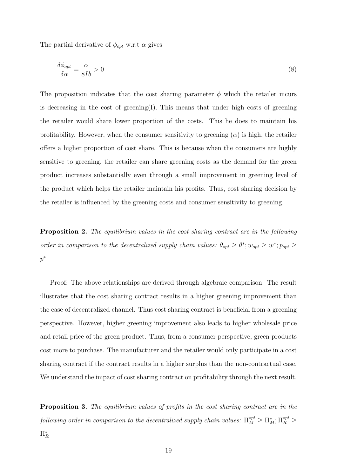The partial derivative of  $\phi_{opt}$  w.r.t  $\alpha$  gives

$$
\frac{\delta \phi_{opt}}{\delta \alpha} = \frac{\alpha}{8Ib} > 0\tag{8}
$$

The proposition indicates that the cost sharing parameter  $\phi$  which the retailer incurs is decreasing in the cost of greening(I). This means that under high costs of greening the retailer would share lower proportion of the costs. This he does to maintain his profitability. However, when the consumer sensitivity to greening  $(\alpha)$  is high, the retailer offers a higher proportion of cost share. This is because when the consumers are highly sensitive to greening, the retailer can share greening costs as the demand for the green product increases substantially even through a small improvement in greening level of the product which helps the retailer maintain his profits. Thus, cost sharing decision by the retailer is influenced by the greening costs and consumer sensitivity to greening.

**Proposition 2.** The equilibrium values in the cost sharing contract are in the following order in comparison to the decentralized supply chain values:  $\theta_{opt} \geq \theta^*$ ;  $w_{opt} \geq w^*$ ;  $p_{opt} \geq$  $p^*$ 

Proof: The above relationships are derived through algebraic comparison. The result illustrates that the cost sharing contract results in a higher greening improvement than the case of decentralized channel. Thus cost sharing contract is beneficial from a greening perspective. However, higher greening improvement also leads to higher wholesale price and retail price of the green product. Thus, from a consumer perspective, green products cost more to purchase. The manufacturer and the retailer would only participate in a cost sharing contract if the contract results in a higher surplus than the non-contractual case. We understand the impact of cost sharing contract on profitability through the next result.

Proposition 3. The equilibrium values of profits in the cost sharing contract are in the following order in comparison to the decentralized supply chain values:  $\Pi_M^{opt} \geq \Pi_M^*; \Pi_R^{opt} \geq$  $\Pi_R^*$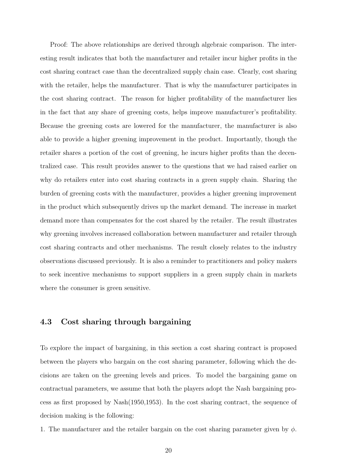Proof: The above relationships are derived through algebraic comparison. The interesting result indicates that both the manufacturer and retailer incur higher profits in the cost sharing contract case than the decentralized supply chain case. Clearly, cost sharing with the retailer, helps the manufacturer. That is why the manufacturer participates in the cost sharing contract. The reason for higher profitability of the manufacturer lies in the fact that any share of greening costs, helps improve manufacturer's profitability. Because the greening costs are lowered for the manufacturer, the manufacturer is also able to provide a higher greening improvement in the product. Importantly, though the retailer shares a portion of the cost of greening, he incurs higher profits than the decentralized case. This result provides answer to the questions that we had raised earlier on why do retailers enter into cost sharing contracts in a green supply chain. Sharing the burden of greening costs with the manufacturer, provides a higher greening improvement in the product which subsequently drives up the market demand. The increase in market demand more than compensates for the cost shared by the retailer. The result illustrates why greening involves increased collaboration between manufacturer and retailer through cost sharing contracts and other mechanisms. The result closely relates to the industry observations discussed previously. It is also a reminder to practitioners and policy makers to seek incentive mechanisms to support suppliers in a green supply chain in markets where the consumer is green sensitive.

### 4.3 Cost sharing through bargaining

To explore the impact of bargaining, in this section a cost sharing contract is proposed between the players who bargain on the cost sharing parameter, following which the decisions are taken on the greening levels and prices. To model the bargaining game on contractual parameters, we assume that both the players adopt the Nash bargaining process as first proposed by Nash(1950,1953). In the cost sharing contract, the sequence of decision making is the following:

1. The manufacturer and the retailer bargain on the cost sharing parameter given by  $\phi$ .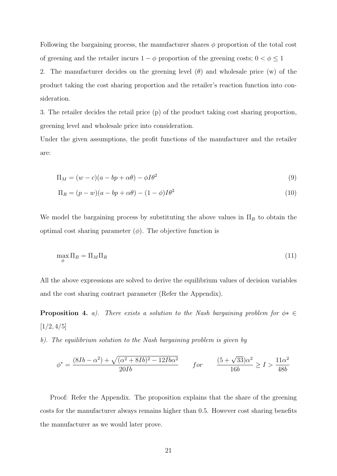Following the bargaining process, the manufacturer shares  $\phi$  proportion of the total cost of greening and the retailer incurs  $1 - \phi$  proportion of the greening costs;  $0 < \phi \leq 1$ 2. The manufacturer decides on the greening level  $(\theta)$  and wholesale price (w) of the product taking the cost sharing proportion and the retailer's reaction function into consideration.

3. The retailer decides the retail price (p) of the product taking cost sharing proportion, greening level and wholesale price into consideration.

Under the given assumptions, the profit functions of the manufacturer and the retailer are:

$$
\Pi_M = (w - c)(a - bp + \alpha\theta) - \phi I \theta^2 \tag{9}
$$

$$
\Pi_R = (p - w)(a - bp + \alpha\theta) - (1 - \phi)I\theta^2
$$
\n(10)

We model the bargaining process by substituting the above values in  $\Pi_B$  to obtain the optimal cost sharing parameter  $(\phi)$ . The objective function is

$$
\max_{\phi} \Pi_B = \Pi_M \Pi_R \tag{11}
$$

All the above expressions are solved to derive the equilibrium values of decision variables and the cost sharing contract parameter (Refer the Appendix).

**Proposition 4.** a). There exists a solution to the Nash bargaining problem for  $\phi * \in$  $[1/2, 4/5]$ 

b). The equilibrium solution to the Nash bargaining problem is given by

$$
\phi^* = \frac{(8Ib - \alpha^2) + \sqrt{(\alpha^2 + 8Ib)^2 - 12Ib\alpha^2}}{20Ib} \qquad for \qquad \frac{(5 + \sqrt{33})\alpha^2}{16b} \ge I > \frac{11\alpha^2}{48b}
$$

Proof: Refer the Appendix. The proposition explains that the share of the greening costs for the manufacturer always remains higher than 0.5. However cost sharing benefits the manufacturer as we would later prove.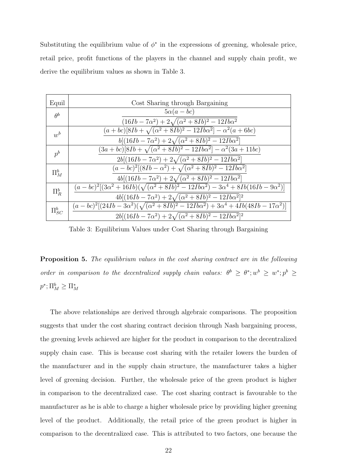Substituting the equilibrium value of  $\phi^*$  in the expressions of greening, wholesale price, retail price, profit functions of the players in the channel and supply chain profit, we derive the equilibrium values as shown in Table 3.

| Equil        | Cost Sharing through Bargaining                                                                                               |
|--------------|-------------------------------------------------------------------------------------------------------------------------------|
| $\theta^b$   | $5\alpha(a-bc)$                                                                                                               |
|              | $(16Ib - 7\alpha^2) + 2\sqrt{(\alpha^2 + 8Ib)^2 - 12Ib\alpha^2}$                                                              |
| $w^b$        | $(a + bc)[8Ib + \sqrt{(\alpha^2 + 8Ib)^2 - 12Ib\alpha^2}] - \alpha^2(a + 6bc)$                                                |
|              | $b[(16Ib - 7\alpha^2) + 2\sqrt{(\alpha^2 + 8Ib)^2 - 12Ib\alpha^2}]$                                                           |
| $p^b$        | $(3a + bc)[8Ib + \sqrt{(\alpha^2 + 8Ib)^2 - 12Ib\alpha^2}] - \alpha^2(3a + 11bc)$                                             |
|              | $2b[(16Ib - 7\alpha^2) + 2\sqrt{(\alpha^2 + 8Ib)^2 - 12Ib\alpha^2}]$                                                          |
| $\Pi_M^b$    | $(a - bc)^{2}[(8Ib - \alpha^{2}) + \sqrt{(\alpha^{2} + 8Ib)^{2} - 12Ib\alpha^{2}}]$                                           |
|              | $4b[(16Ib - 7\alpha^2) + 2\sqrt{(\alpha^2 + 8Ib)^2 - 12Ib\alpha^2}]$                                                          |
| $\Pi^b_R$    | $(a - bc)^2[(3\alpha^2 + 16Ib)(\sqrt{(\alpha^2 + 8Ib)^2 - 12Ib\alpha^2}) - 3\alpha^4 + 8Ib(16Ib - 9\alpha^2)]$                |
|              | $4b[(16Ib - 7\alpha^2) + 2\sqrt{(\alpha^2 + 8Ib)^2 - 12Ib\alpha^2}]^2$                                                        |
| $\Pi_{SC}^b$ | $(a - bc)^{2}[(24Ib - 3\alpha^{2})(\sqrt{(\alpha^{2} + 8Ib)^{2} - 12Ib\alpha^{2}}) + 3\alpha^{4} + 4Ib(48Ib - 17\alpha^{2})]$ |
|              | $2b[(16Ib - 7\alpha^2) + 2\sqrt{(\alpha^2 + 8Ib)^2 - 12Ib\alpha^2}]^2$                                                        |

Table 3: Equilibrium Values under Cost Sharing through Bargaining

**Proposition 5.** The equilibrium values in the cost sharing contract are in the following order in comparison to the decentralized supply chain values:  $\theta^b \geq \theta^*; w^b \geq w^*; p^b \geq$  $p^*; \Pi_M^b \geq \Pi_M^*$ 

The above relationships are derived through algebraic comparisons. The proposition suggests that under the cost sharing contract decision through Nash bargaining process, the greening levels achieved are higher for the product in comparison to the decentralized supply chain case. This is because cost sharing with the retailer lowers the burden of the manufacturer and in the supply chain structure, the manufacturer takes a higher level of greening decision. Further, the wholesale price of the green product is higher in comparison to the decentralized case. The cost sharing contract is favourable to the manufacturer as he is able to charge a higher wholesale price by providing higher greening level of the product. Additionally, the retail price of the green product is higher in comparison to the decentralized case. This is attributed to two factors, one because the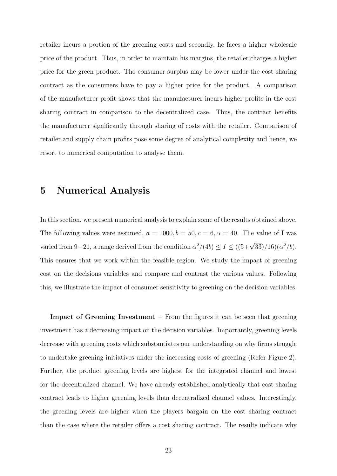retailer incurs a portion of the greening costs and secondly, he faces a higher wholesale price of the product. Thus, in order to maintain his margins, the retailer charges a higher price for the green product. The consumer surplus may be lower under the cost sharing contract as the consumers have to pay a higher price for the product. A comparison of the manufacturer profit shows that the manufacturer incurs higher profits in the cost sharing contract in comparison to the decentralized case. Thus, the contract benefits the manufacturer significantly through sharing of costs with the retailer. Comparison of retailer and supply chain profits pose some degree of analytical complexity and hence, we resort to numerical computation to analyse them.

# 5 Numerical Analysis

In this section, we present numerical analysis to explain some of the results obtained above. The following values were assumed,  $a = 1000, b = 50, c = 6, \alpha = 40$ . The value of I was varied from 9-21, a range derived from the condition  $\alpha^2/(4b) \le I \le ((5+\sqrt{33})/16)(\alpha^2/b)$ . This ensures that we work within the feasible region. We study the impact of greening cost on the decisions variables and compare and contrast the various values. Following this, we illustrate the impact of consumer sensitivity to greening on the decision variables.

Impact of Greening Investment − From the figures it can be seen that greening investment has a decreasing impact on the decision variables. Importantly, greening levels decrease with greening costs which substantiates our understanding on why firms struggle to undertake greening initiatives under the increasing costs of greening (Refer Figure 2). Further, the product greening levels are highest for the integrated channel and lowest for the decentralized channel. We have already established analytically that cost sharing contract leads to higher greening levels than decentralized channel values. Interestingly, the greening levels are higher when the players bargain on the cost sharing contract than the case where the retailer offers a cost sharing contract. The results indicate why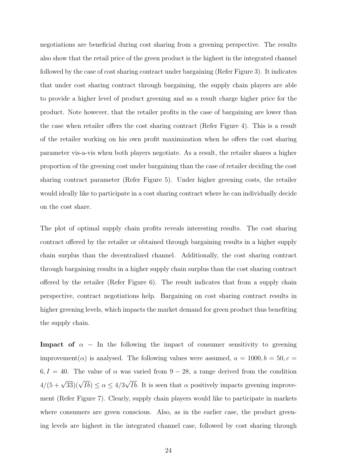negotiations are beneficial during cost sharing from a greening perspective. The results also show that the retail price of the green product is the highest in the integrated channel followed by the case of cost sharing contract under bargaining (Refer Figure 3). It indicates that under cost sharing contract through bargaining, the supply chain players are able to provide a higher level of product greening and as a result charge higher price for the product. Note however, that the retailer profits in the case of bargaining are lower than the case when retailer offers the cost sharing contract (Refer Figure 4). This is a result of the retailer working on his own profit maximization when he offers the cost sharing parameter vis-a-vis when both players negotiate. As a result, the retailer shares a higher proportion of the greening cost under bargaining than the case of retailer deciding the cost sharing contract parameter (Refer Figure 5). Under higher greening costs, the retailer would ideally like to participate in a cost sharing contract where he can individually decide on the cost share.

The plot of optimal supply chain profits reveals interesting results. The cost sharing contract offered by the retailer or obtained through bargaining results in a higher supply chain surplus than the decentralized channel. Additionally, the cost sharing contract through bargaining results in a higher supply chain surplus than the cost sharing contract offered by the retailer (Refer Figure 6). The result indicates that from a supply chain perspective, contract negotiations help. Bargaining on cost sharing contract results in higher greening levels, which impacts the market demand for green product thus benefiting the supply chain.

**Impact of**  $\alpha$  − In the following the impact of consumer sensitivity to greening improvement( $\alpha$ ) is analysed. The following values were assumed,  $a = 1000, b = 50, c =$  $6, I = 40$ . The value of  $\alpha$  was varied from  $9 - 28$ , a range derived from the condition  $4/(5+\sqrt{33})(\sqrt{1b}) \le \alpha \le 4/3$ √ Ib. It is seen that  $\alpha$  positively impacts greening improvement (Refer Figure 7). Clearly, supply chain players would like to participate in markets where consumers are green conscious. Also, as in the earlier case, the product greening levels are highest in the integrated channel case, followed by cost sharing through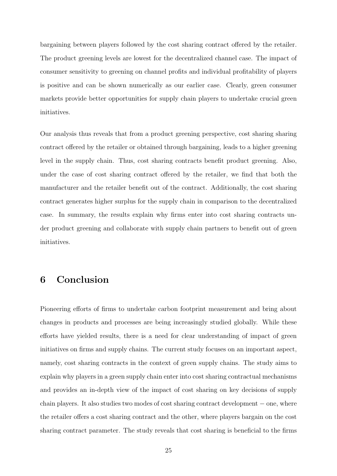bargaining between players followed by the cost sharing contract offered by the retailer. The product greening levels are lowest for the decentralized channel case. The impact of consumer sensitivity to greening on channel profits and individual profitability of players is positive and can be shown numerically as our earlier case. Clearly, green consumer markets provide better opportunities for supply chain players to undertake crucial green initiatives.

Our analysis thus reveals that from a product greening perspective, cost sharing sharing contract offered by the retailer or obtained through bargaining, leads to a higher greening level in the supply chain. Thus, cost sharing contracts benefit product greening. Also, under the case of cost sharing contract offered by the retailer, we find that both the manufacturer and the retailer benefit out of the contract. Additionally, the cost sharing contract generates higher surplus for the supply chain in comparison to the decentralized case. In summary, the results explain why firms enter into cost sharing contracts under product greening and collaborate with supply chain partners to benefit out of green initiatives.

# 6 Conclusion

Pioneering efforts of firms to undertake carbon footprint measurement and bring about changes in products and processes are being increasingly studied globally. While these efforts have yielded results, there is a need for clear understanding of impact of green initiatives on firms and supply chains. The current study focuses on an important aspect, namely, cost sharing contracts in the context of green supply chains. The study aims to explain why players in a green supply chain enter into cost sharing contractual mechanisms and provides an in-depth view of the impact of cost sharing on key decisions of supply chain players. It also studies two modes of cost sharing contract development − one, where the retailer offers a cost sharing contract and the other, where players bargain on the cost sharing contract parameter. The study reveals that cost sharing is beneficial to the firms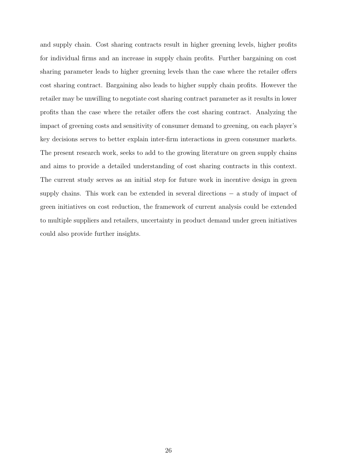and supply chain. Cost sharing contracts result in higher greening levels, higher profits for individual firms and an increase in supply chain profits. Further bargaining on cost sharing parameter leads to higher greening levels than the case where the retailer offers cost sharing contract. Bargaining also leads to higher supply chain profits. However the retailer may be unwilling to negotiate cost sharing contract parameter as it results in lower profits than the case where the retailer offers the cost sharing contract. Analyzing the impact of greening costs and sensitivity of consumer demand to greening, on each player's key decisions serves to better explain inter-firm interactions in green consumer markets. The present research work, seeks to add to the growing literature on green supply chains and aims to provide a detailed understanding of cost sharing contracts in this context. The current study serves as an initial step for future work in incentive design in green supply chains. This work can be extended in several directions − a study of impact of green initiatives on cost reduction, the framework of current analysis could be extended to multiple suppliers and retailers, uncertainty in product demand under green initiatives could also provide further insights.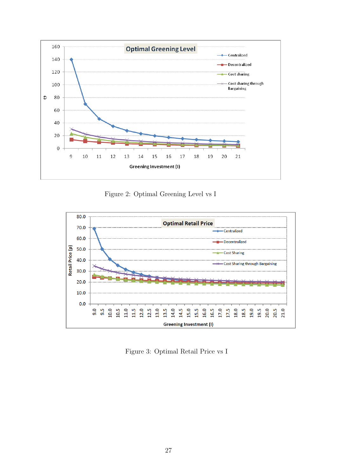

Figure 2: Optimal Greening Level vs I



Figure 3: Optimal Retail Price vs I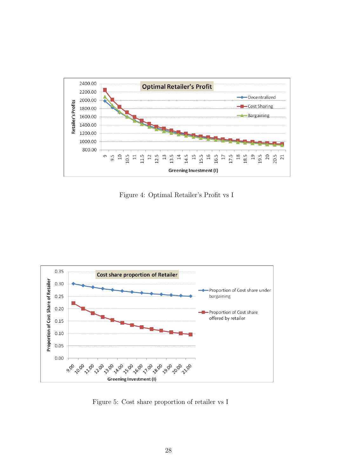

Figure 4: Optimal Retailer's Profit vs I



Figure 5: Cost share proportion of retailer vs I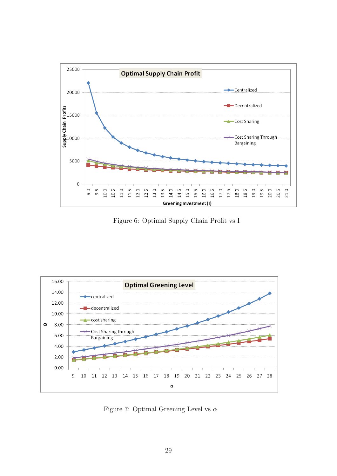

Figure 6: Optimal Supply Chain Profit vs I



Figure 7: Optimal Greening Level vs  $\alpha$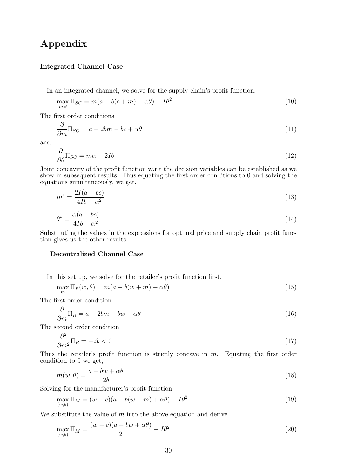# Appendix

### Integrated Channel Case

In an integrated channel, we solve for the supply chain's profit function,

$$
\max_{m,\theta} \Pi_{SC} = m(a - b(c + m) + \alpha\theta) - I\theta^2
$$
\n(10)

The first order conditions

$$
\frac{\partial}{\partial m} \Pi_{SC} = a - 2bm - bc + \alpha \theta \tag{11}
$$

and

$$
\frac{\partial}{\partial \theta} \Pi_{SC} = m\alpha - 2I\theta \tag{12}
$$

Joint concavity of the profit function w.r.t the decision variables can be established as we show in subsequent results. Thus equating the first order conditions to 0 and solving the equations simultaneously, we get,

$$
m^* = \frac{2I(a - bc)}{4Ib - \alpha^2} \tag{13}
$$

$$
\theta^* = \frac{\alpha(a - bc)}{4Ib - \alpha^2} \tag{14}
$$

Substituting the values in the expressions for optimal price and supply chain profit function gives us the other results.

#### Decentralized Channel Case

In this set up, we solve for the retailer's profit function first.

$$
\max_{m} \Pi_R(w, \theta) = m(a - b(w + m) + \alpha \theta)
$$
\n(15)

The first order condition

$$
\frac{\partial}{\partial m} \Pi_R = a - 2bm - bw + \alpha \theta \tag{16}
$$

The second order condition

$$
\frac{\partial^2}{\partial m^2} \Pi_R = -2b < 0 \tag{17}
$$

Thus the retailer's profit function is strictly concave in  $m$ . Equating the first order condition to 0 we get,

$$
m(w, \theta) = \frac{a - bw + \alpha \theta}{2b}
$$
\n<sup>(18)</sup>

Solving for the manufacturer's profit function

$$
\max_{(w,\theta)} \Pi_M = (w-c)(a-b(w+m)+\alpha\theta) - I\theta^2
$$
\n(19)

We substitute the value of  $m$  into the above equation and derive

$$
\max_{(w,\theta)} \Pi_M = \frac{(w-c)(a-bw+\alpha\theta)}{2} - I\theta^2 \tag{20}
$$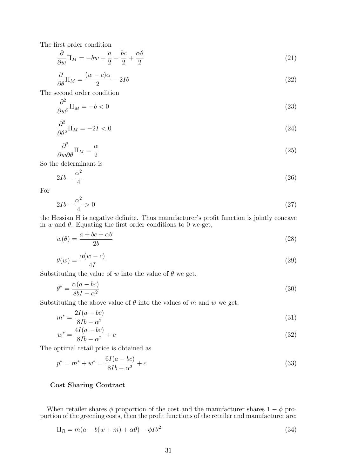The first order condition

$$
\frac{\partial}{\partial w} \Pi_M = -bw + \frac{a}{2} + \frac{bc}{2} + \frac{\alpha \theta}{2}
$$
\n(21)

$$
\frac{\partial}{\partial \theta} \Pi_M = \frac{(w - c)\alpha}{2} - 2I\theta \tag{22}
$$

The second order condition

$$
\frac{\partial^2}{\partial w^2} \Pi_M = -b < 0 \tag{23}
$$

$$
\frac{\partial^2}{\partial \theta^2} \Pi_M = -2I < 0 \tag{24}
$$

$$
\frac{\partial^2}{\partial w \partial \theta} \Pi_M = \frac{\alpha}{2} \tag{25}
$$

So the determinant is

$$
2Ib - \frac{\alpha^2}{4} \tag{26}
$$

For

$$
2Ib - \frac{\alpha^2}{4} > 0\tag{27}
$$

the Hessian H is negative definite. Thus manufacturer's profit function is jointly concave in w and  $\theta$ . Equating the first order conditions to 0 we get,

$$
w(\theta) = \frac{a + bc + \alpha \theta}{2b} \tag{28}
$$

$$
\theta(w) = \frac{\alpha(w-c)}{4I} \tag{29}
$$

Substituting the value of w into the value of  $\theta$  we get,

$$
\theta^* = \frac{\alpha(a - bc)}{8bI - \alpha^2} \tag{30}
$$

Substituting the above value of  $\theta$  into the values of m and w we get,

$$
m^* = \frac{2I(a - bc)}{8Ib - \alpha^2} \tag{31}
$$

$$
w^* = \frac{4I(a - bc)}{8Ib - \alpha^2} + c \tag{32}
$$

The optimal retail price is obtained as

$$
p^* = m^* + w^* = \frac{6I(a - bc)}{8Ib - \alpha^2} + c
$$
\n(33)

#### Cost Sharing Contract

When retailer shares  $\phi$  proportion of the cost and the manufacturer shares  $1 - \phi$  proportion of the greening costs, then the profit functions of the retailer and manufacturer are:

$$
\Pi_R = m(a - b(w + m) + \alpha \theta) - \phi I \theta^2 \tag{34}
$$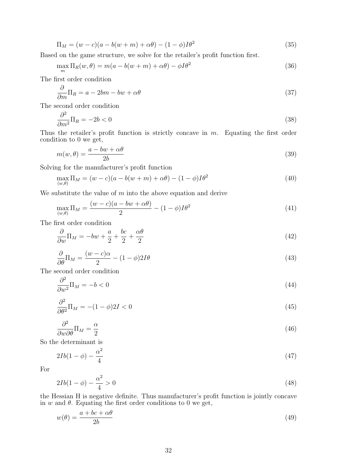$$
\Pi_M = (w - c)(a - b(w + m) + \alpha \theta) - (1 - \phi)I\theta^2
$$
\n(35)

Based on the game structure, we solve for the retailer's profit function first.

$$
\max_{m} \Pi_R(w, \theta) = m(a - b(w + m) + \alpha \theta) - \phi I \theta^2
$$
\n(36)

The first order condition

$$
\frac{\partial}{\partial m} \Pi_R = a - 2bm - bw + \alpha \theta \tag{37}
$$

The second order condition

$$
\frac{\partial^2}{\partial m^2} \Pi_R = -2b < 0 \tag{38}
$$

Thus the retailer's profit function is strictly concave in  $m$ . Equating the first order condition to 0 we get,

$$
m(w, \theta) = \frac{a - bw + \alpha \theta}{2b}
$$
\n(39)

Solving for the manufacturer's profit function

$$
\max_{(w,\theta)} \Pi_M = (w - c)(a - b(w + m) + \alpha\theta) - (1 - \phi)I\theta^2
$$
\n(40)

We substitute the value of  $m$  into the above equation and derive

$$
\max_{(w,\theta)} \Pi_M = \frac{(w-c)(a-bw+\alpha\theta)}{2} - (1-\phi)I\theta^2
$$
\n(41)

The first order condition

$$
\frac{\partial}{\partial w} \Pi_M = -bw + \frac{a}{2} + \frac{bc}{2} + \frac{\alpha \theta}{2} \tag{42}
$$

$$
\frac{\partial}{\partial \theta} \Pi_M = \frac{(w - c)\alpha}{2} - (1 - \phi)2I\theta \tag{43}
$$

The second order condition

$$
\frac{\partial^2}{\partial w^2} \Pi_M = -b < 0 \tag{44}
$$

$$
\frac{\partial^2}{\partial \theta^2} \Pi_M = -(1 - \phi)2I < 0 \tag{45}
$$

$$
\frac{\partial^2}{\partial w \partial \theta} \Pi_M = \frac{\alpha}{2} \tag{46}
$$

So the determinant is

$$
2Ib(1-\phi) - \frac{\alpha^2}{4} \tag{47}
$$

For

$$
2Ib(1 - \phi) - \frac{\alpha^2}{4} > 0\tag{48}
$$

the Hessian H is negative definite. Thus manufacturer's profit function is jointly concave in w and  $\theta$ . Equating the first order conditions to 0 we get,

$$
w(\theta) = \frac{a + bc + \alpha \theta}{2b} \tag{49}
$$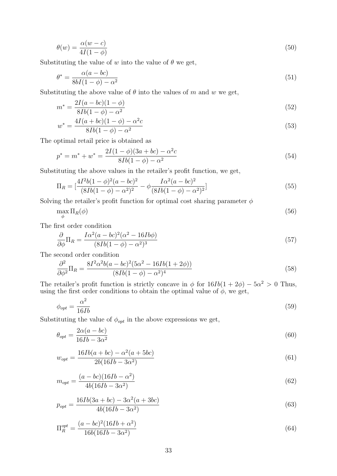$$
\theta(w) = \frac{\alpha(w-c)}{4I(1-\phi)}\tag{50}
$$

Substituting the value of w into the value of  $\theta$  we get,

$$
\theta^* = \frac{\alpha(a - bc)}{8bI(1 - \phi) - \alpha^2} \tag{51}
$$

Substituting the above value of  $\theta$  into the values of m and w we get,

$$
m^* = \frac{2I(a - bc)(1 - \phi)}{8Ib(1 - \phi) - \alpha^2}
$$
\n(52)

$$
w^* = \frac{4I(a+bc)(1-\phi) - \alpha^2 c}{8Ib(1-\phi) - \alpha^2}
$$
\n(53)

The optimal retail price is obtained as

$$
p^* = m^* + w^* = \frac{2I(1 - \phi)(3a + bc) - \alpha^2 c}{8Ib(1 - \phi) - \alpha^2}
$$
\n(54)

Substituting the above values in the retailer's profit function, we get,

$$
\Pi_R = \left[\frac{4I^2b(1-\phi)^2(a-bc)^2}{(8Ib(1-\phi)-\alpha^2)^2} - \phi \frac{I\alpha^2(a-bc)^2}{(8Ib(1-\phi)-\alpha^2)^2}\right]
$$
\n(55)

Solving the retailer's profit function for optimal cost sharing parameter  $\phi$ 

$$
\max_{\phi} \Pi_R(\phi) \tag{56}
$$

The first order condition

$$
\frac{\partial}{\partial \phi} \Pi_R = \frac{I \alpha^2 (a - bc)^2 (\alpha^2 - 16Ib\phi)}{(8Ib(1 - \phi) - \alpha^2)^3}
$$
(57)

The second order condition

$$
\frac{\partial^2}{\partial \phi^2} \Pi_R = \frac{8I^2 \alpha^2 b(a - bc)^2 (5\alpha^2 - 16Ib(1 + 2\phi))}{(8Ib(1 - \phi) - \alpha^2)^4}
$$
(58)

The retailer's profit function is strictly concave in  $\phi$  for  $16Ib(1+2\phi) - 5\alpha^2 > 0$  Thus, using the first order conditions to obtain the optimal value of  $\phi$ , we get,

$$
\phi_{opt} = \frac{\alpha^2}{16Ib} \tag{59}
$$

Substituting the value of  $\phi_{\text{out}}$  in the above expressions we get,

$$
\theta_{opt} = \frac{2\alpha(a - bc)}{16Ib - 3\alpha^2} \tag{60}
$$

$$
w_{opt} = \frac{16Ib(a + bc) - \alpha^2(a + 5bc)}{2b(16Ib - 3\alpha^2)}
$$
\n(61)

$$
m_{opt} = \frac{(a - bc)(16Ib - \alpha^2)}{4b(16Ib - 3\alpha^2)}
$$
\n(62)

$$
p_{opt} = \frac{16Ib(3a + bc) - 3\alpha^2(a + 3bc)}{4b(16Ib - 3\alpha^2)}
$$
\n(63)

$$
\Pi_R^{opt} = \frac{(a - bc)^2 (16Ib + \alpha^2)}{16b(16Ib - 3\alpha^2)}
$$
\n(64)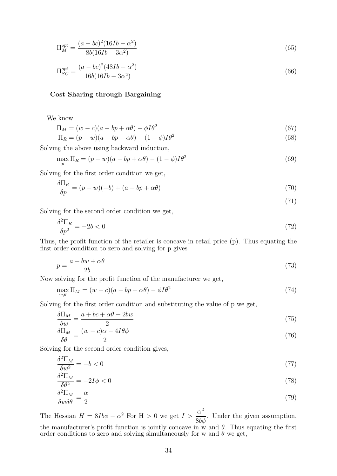$$
\Pi_M^{opt} = \frac{(a - bc)^2 (16Ib - \alpha^2)}{8b(16Ib - 3\alpha^2)}
$$
\n(65)

$$
\Pi_{SC}^{opt} = \frac{(a - bc)^2 (48Ib - \alpha^2)}{16b(16Ib - 3\alpha^2)}
$$
\n(66)

#### Cost Sharing through Bargaining

We know

$$
\Pi_M = (w - c)(a - bp + \alpha\theta) - \phi I \theta^2 \tag{67}
$$

$$
\Pi_R = (p - w)(a - bp + \alpha \theta) - (1 - \phi)I\theta^2
$$
\n(68)

Solving the above using backward induction,

$$
\max_{p} \Pi_R = (p - w)(a - bp + \alpha \theta) - (1 - \phi)I\theta^2
$$
\n(69)

Solving for the first order condition we get,

$$
\frac{\delta \Pi_R}{\delta p} = (p - w)(-b) + (a - bp + \alpha \theta) \tag{70}
$$

(71)

Solving for the second order condition we get,

$$
\frac{\delta^2 \Pi_R}{\delta p^2} = -2b < 0\tag{72}
$$

Thus, the profit function of the retailer is concave in retail price (p). Thus equating the first order condition to zero and solving for p gives

$$
p = \frac{a + bw + \alpha \theta}{2b} \tag{73}
$$

Now solving for the profit function of the manufacturer we get,

$$
\max_{w,\theta} \Pi_M = (w - c)(a - bp + \alpha\theta) - \phi I \theta^2 \tag{74}
$$

Solving for the first order condition and substituting the value of p we get,

$$
\frac{\delta\Pi_M}{\delta w} = \frac{a + bc + \alpha\theta - 2bw}{2} \tag{75}
$$

$$
\frac{\delta\Pi_M}{\delta\theta} = \frac{(w-c)\alpha - 4I\theta\phi}{2} \tag{76}
$$

Solving for the second order condition gives,

$$
\frac{\delta^2 \Pi_M}{\delta w^2} = -b < 0\tag{77}
$$

$$
\frac{\delta^2 \Pi_M}{\delta \theta^2} = -2I\phi < 0\tag{78}
$$

$$
\frac{\delta^2 \Pi_M}{\delta w \delta \theta} = \frac{\alpha}{2} \tag{79}
$$

The Hessian  $H = 8Ib\phi - \alpha^2$  For  $H > 0$  we get  $I > \frac{\alpha^2}{\alpha I}$  $\frac{\alpha}{8b\phi}$ . Under the given assumption, the manufacturer's profit function is jointly concave in w and  $\theta$ . Thus equating the first order conditions to zero and solving simultaneously for w and  $\theta$  we get,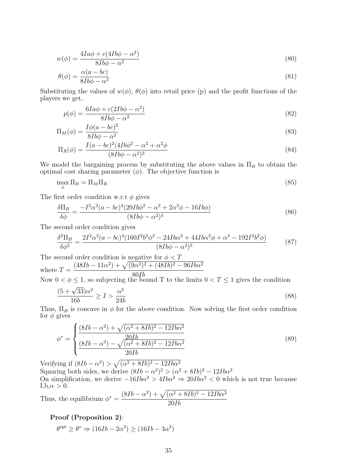$$
w(\phi) = \frac{4Ia\phi + c(4Ib\phi - \alpha^2)}{8Ib\phi - \alpha^2}
$$
\n(80)

$$
\theta(\phi) = \frac{\alpha(a - bc)}{8Ib\phi - \alpha^2} \tag{81}
$$

Substituting the values of  $w(\phi)$ ,  $\theta(\phi)$  into retail price (p) and the profit functions of the players we get,

$$
p(\phi) = \frac{6Ia\phi + c(2Ib\phi - \alpha^2)}{8Ib\phi - \alpha^2}
$$
\n(82)

$$
\Pi_M(\phi) = \frac{I\phi(a - bc)^2}{8Ib\phi - \alpha^2} \tag{83}
$$

$$
\Pi_R(\phi) = \frac{I(a - bc)^2 (4Ib\phi^2 - \alpha^2 + \alpha^2 \phi)}{(8Ib\phi - \alpha^2)^2}
$$
\n(84)

We model the bargaining process by substituting the above values in  $\Pi_B$  to obtain the optimal cost sharing parameter  $(\phi)$ . The objective function is

$$
\max_{\phi} \Pi_B = \Pi_M \Pi_R \tag{85}
$$

The first order condition w.r.t  $\phi$  gives

$$
\frac{\delta\Pi_B}{\delta\phi} = \frac{-I^2\alpha^2(a - bc)^4(20Ib\phi^2 - \alpha^2 + 2\alpha^2\phi - 16Ib\phi)}{(8Ib\phi - \alpha^2)^4}
$$
(86)

The second order condition gives

$$
\frac{\delta^2 \Pi_B}{\delta \phi^2} = \frac{2I^2 \alpha^2 (a - bc)^4 (160I^2 b^2 \phi^2 - 24I b \alpha^2 + 44I b \alpha^2 \phi + \alpha^4 - 192I^2 b^2 \phi)}{(8I b \phi - \alpha^2)^5}
$$
(87)

The second order condition is negative for  $\phi < T$ where  $T =$  $(48Ib - 11\alpha^2) + \sqrt{(9\alpha^2)^2 + (48Ib)^2 - 96Ib\alpha^2}$  $80Ib$ 

Now  $0 < \phi \leq 1$ , so subjecting the bound T to the limits  $0 < T \leq 1$  gives the condition

$$
\frac{(5+\sqrt{33})\alpha^2}{16b} \ge I > \frac{\alpha^2}{24b} \tag{88}
$$

Thus,  $\Pi_B$  is concave in  $\phi$  for the above condition. Now solving the first order condition for  $\phi$  gives

$$
\phi^* = \begin{cases} \frac{(8Ib - \alpha^2) + \sqrt{(\alpha^2 + 8Ib)^2 - 12Ib\alpha^2}}{20Ib} \\ \frac{(8Ib - \alpha^2) - \sqrt{(\alpha^2 + 8Ib)^2 - 12Ib\alpha^2}}{20Ib} \end{cases}
$$
(89)

Verifying if  $(8Ib - \alpha^2) > \sqrt{(\alpha^2 + 8Ib)^2 - 12Ib\alpha^2}$ Squaring both sides, we derive  $(8Ib - \alpha^2)^2 > (\alpha^2 + 8Ib)^2 - 12Ib\alpha^2$ On simplification, we derive  $-16Ib\alpha^2 > 4Ib\alpha^2 \Rightarrow 20Ib\alpha^2 < 0$  which is not true because I,b, $\alpha > 0$ .

Thus, the equilibrium  $\phi^* = \frac{(8Ib - \alpha^2) + \sqrt{(\alpha^2 + 8Ib)^2 - 12Ib\alpha^2}}{20I}$ 20Ib

### Proof (Proposition 2):

$$
\theta^{opt} \ge \theta^* \Rightarrow (16Ib - 2\alpha^2) \ge (16Ib - 3\alpha^2)
$$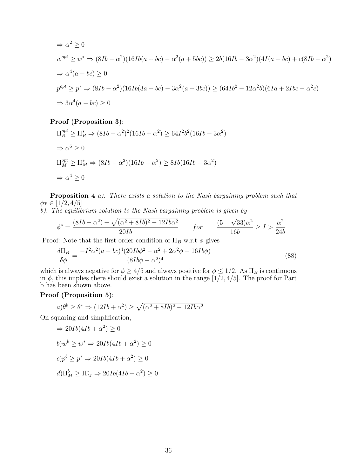$$
\Rightarrow \alpha^2 \ge 0
$$
  
\n
$$
w^{opt} \ge w^* \Rightarrow (8Ib - \alpha^2)(16Ib(a + bc) - \alpha^2(a + 5bc)) \ge 2b(16Ib - 3\alpha^2)(4I(a - bc) + c(8Ib - \alpha^2)
$$
  
\n
$$
\Rightarrow \alpha^4(a - bc) \ge 0
$$
  
\n
$$
p^{opt} \ge p^* \Rightarrow (8Ib - \alpha^2)(16Ib(3a + bc) - 3\alpha^2(a + 3bc)) \ge (64Ib^2 - 12\alpha^2b)(6Ia + 2Ibc - \alpha^2c)
$$
  
\n
$$
\Rightarrow 3\alpha^4(a - bc) \ge 0
$$

Proof (Proposition 3):

$$
\Pi_R^{opt} \ge \Pi_R^* \Rightarrow (8Ib - \alpha^2)^2 (16Ib + \alpha^2) \ge 64I^2b^2(16Ib - 3\alpha^2)
$$
  
\n
$$
\Rightarrow \alpha^6 \ge 0
$$
  
\n
$$
\Pi_M^{opt} \ge \Pi_M^* \Rightarrow (8Ib - \alpha^2)(16Ib - \alpha^2) \ge 8Ib(16Ib - 3\alpha^2)
$$
  
\n
$$
\Rightarrow \alpha^4 \ge 0
$$

Proposition 4 a). There exists a solution to the Nash bargaining problem such that  $\phi * \in [1/2, 4/5]$ 

b). The equilibrium solution to the Nash bargaining problem is given by

$$
\phi^* = \frac{(8Ib - \alpha^2) + \sqrt{(\alpha^2 + 8Ib)^2 - 12Ib\alpha^2}}{20Ib} \qquad \text{for} \qquad \frac{(5 + \sqrt{33})\alpha^2}{16b} \ge I > \frac{\alpha^2}{24b}
$$

Proof: Note that the first order condition of  $\Pi_B$  w.r.t  $\phi$  gives

$$
\frac{\delta \Pi_B}{\delta \phi} = \frac{-I^2 \alpha^2 (a - bc)^4 (20Ib\phi^2 - \alpha^2 + 2\alpha^2 \phi - 16Ib\phi)}{(8Ib\phi - \alpha^2)^4}
$$
(88)

which is always negative for  $\phi \geq 4/5$  and always positive for  $\phi \leq 1/2$ . As  $\Pi_B$  is continuous in  $\phi$ , this implies there should exist a solution in the range  $(1/2, 4/5]$ . The proof for Part b has been shown above.

#### Proof (Proposition 5):

$$
a)\theta^b \ge \theta^* \Rightarrow (12Ib + \alpha^2) \ge \sqrt{(\alpha^2 + 8Ib)^2 - 12Ib\alpha^2}
$$

On squaring and simplification,

$$
\Rightarrow 20Ib(4Ib + \alpha^2) \ge 0
$$
  
\n
$$
b)w^b \ge w^* \Rightarrow 20Ib(4Ib + \alpha^2) \ge 0
$$
  
\n
$$
c)p^b \ge p^* \Rightarrow 20Ib(4Ib + \alpha^2) \ge 0
$$
  
\n
$$
d)\Pi_M^b \ge \Pi_M^* \Rightarrow 20Ib(4Ib + \alpha^2) \ge 0
$$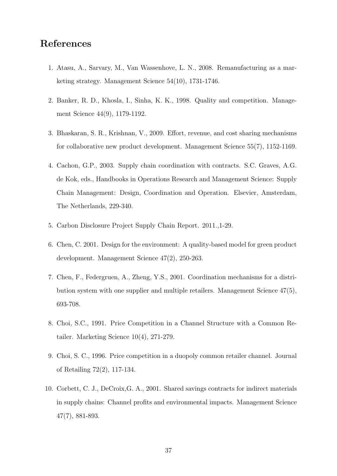# References

- 1. Atasu, A., Sarvary, M., Van Wassenhove, L. N., 2008. Remanufacturing as a marketing strategy. Management Science 54(10), 1731-1746.
- 2. Banker, R. D., Khosla, I., Sinha, K. K., 1998. Quality and competition. Management Science 44(9), 1179-1192.
- 3. Bhaskaran, S. R., Krishnan, V., 2009. Effort, revenue, and cost sharing mechanisms for collaborative new product development. Management Science 55(7), 1152-1169.
- 4. Cachon, G.P., 2003. Supply chain coordination with contracts. S.C. Graves, A.G. de Kok, eds., Handbooks in Operations Research and Management Science: Supply Chain Management: Design, Coordination and Operation. Elsevier, Amsterdam, The Netherlands, 229-340.
- 5. Carbon Disclosure Project Supply Chain Report. 2011.,1-29.
- 6. Chen, C. 2001. Design for the environment: A quality-based model for green product development. Management Science 47(2), 250-263.
- 7. Chen, F., Federgruen, A., Zheng, Y.S., 2001. Coordination mechanisms for a distribution system with one supplier and multiple retailers. Management Science 47(5), 693-708.
- 8. Choi, S.C., 1991. Price Competition in a Channel Structure with a Common Retailer. Marketing Science 10(4), 271-279.
- 9. Choi, S. C., 1996. Price competition in a duopoly common retailer channel. Journal of Retailing 72(2), 117-134.
- 10. Corbett, C. J., DeCroix,G. A., 2001. Shared savings contracts for indirect materials in supply chains: Channel profits and environmental impacts. Management Science 47(7), 881-893.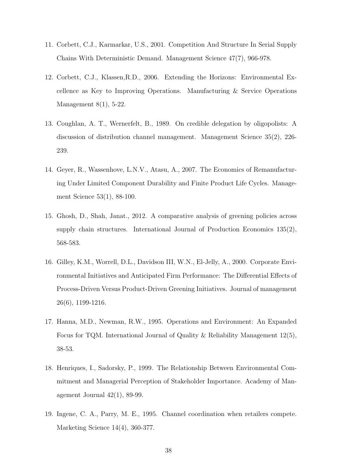- 11. Corbett, C.J., Karmarkar, U.S., 2001. Competition And Structure In Serial Supply Chains With Deterministic Demand. Management Science 47(7), 966-978.
- 12. Corbett, C.J., Klassen,R.D., 2006. Extending the Horizons: Environmental Excellence as Key to Improving Operations. Manufacturing & Service Operations Management 8(1), 5-22.
- 13. Coughlan, A. T., Wernerfelt, B., 1989. On credible delegation by oligopolists: A discussion of distribution channel management. Management Science 35(2), 226- 239.
- 14. Geyer, R., Wassenhove, L.N.V., Atasu, A., 2007. The Economics of Remanufacturing Under Limited Component Durability and Finite Product Life Cycles. Management Science 53(1), 88-100.
- 15. Ghosh, D., Shah, Janat., 2012. A comparative analysis of greening policies across supply chain structures. International Journal of Production Economics 135(2), 568-583.
- 16. Gilley, K.M., Worrell, D.L., Davidson III, W.N., El-Jelly, A., 2000. Corporate Environmental Initiatives and Anticipated Firm Performance: The Differential Effects of Process-Driven Versus Product-Driven Greening Initiatives. Journal of management 26(6), 1199-1216.
- 17. Hanna, M.D., Newman, R.W., 1995. Operations and Environment: An Expanded Focus for TQM. International Journal of Quality & Reliability Management 12(5), 38-53.
- 18. Henriques, I., Sadorsky, P., 1999. The Relationship Between Environmental Commitment and Managerial Perception of Stakeholder Importance. Academy of Management Journal  $42(1)$ , 89-99.
- 19. Ingene, C. A., Parry, M. E., 1995. Channel coordination when retailers compete. Marketing Science 14(4), 360-377.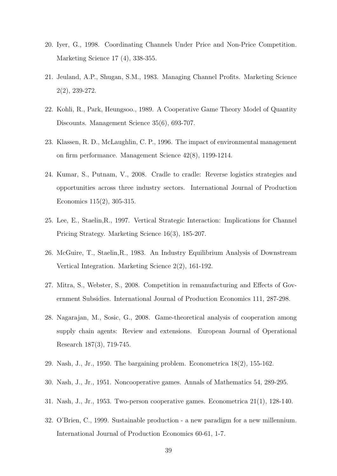- 20. Iyer, G., 1998. Coordinating Channels Under Price and Non-Price Competition. Marketing Science 17 (4), 338-355.
- 21. Jeuland, A.P., Shugan, S.M., 1983. Managing Channel Profits. Marketing Science 2(2), 239-272.
- 22. Kohli, R., Park, Heungsoo., 1989. A Cooperative Game Theory Model of Quantity Discounts. Management Science 35(6), 693-707.
- 23. Klassen, R. D., McLaughlin, C. P., 1996. The impact of environmental management on firm performance. Management Science 42(8), 1199-1214.
- 24. Kumar, S., Putnam, V., 2008. Cradle to cradle: Reverse logistics strategies and opportunities across three industry sectors. International Journal of Production Economics 115(2), 305-315.
- 25. Lee, E., Staelin,R., 1997. Vertical Strategic Interaction: Implications for Channel Pricing Strategy. Marketing Science 16(3), 185-207.
- 26. McGuire, T., Staelin,R., 1983. An Industry Equilibrium Analysis of Downstream Vertical Integration. Marketing Science 2(2), 161-192.
- 27. Mitra, S., Webster, S., 2008. Competition in remanufacturing and Effects of Government Subsidies. International Journal of Production Economics 111, 287-298.
- 28. Nagarajan, M., Sosic, G., 2008. Game-theoretical analysis of cooperation among supply chain agents: Review and extensions. European Journal of Operational Research 187(3), 719-745.
- 29. Nash, J., Jr., 1950. The bargaining problem. Econometrica 18(2), 155-162.
- 30. Nash, J., Jr., 1951. Noncooperative games. Annals of Mathematics 54, 289-295.
- 31. Nash, J., Jr., 1953. Two-person cooperative games. Econometrica 21(1), 128-140.
- 32. O'Brien, C., 1999. Sustainable production a new paradigm for a new millennium. International Journal of Production Economics 60-61, 1-7.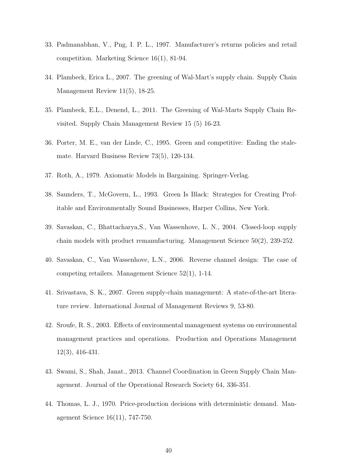- 33. Padmanabhan, V., Png, I. P. L., 1997. Manufacturer's returns policies and retail competition. Marketing Science 16(1), 81-94.
- 34. Plambeck, Erica L., 2007. The greening of Wal-Mart's supply chain. Supply Chain Management Review 11(5), 18-25.
- 35. Plambeck, E.L., Denend, L., 2011. The Greening of Wal-Marts Supply Chain Revisited. Supply Chain Management Review 15 (5) 16-23.
- 36. Porter, M. E., van der Linde, C., 1995. Green and competitive: Ending the stalemate. Harvard Business Review 73(5), 120-134.
- 37. Roth, A., 1979. Axiomatic Models in Bargaining. Springer-Verlag.
- 38. Saunders, T., McGovern, L., 1993. Green Is Black: Strategies for Creating Profitable and Environmentally Sound Businesses, Harper Collins, New York.
- 39. Savaskan, C., Bhattacharya,S., Van Wassenhove, L. N., 2004. Closed-loop supply chain models with product remanufacturing. Management Science 50(2), 239-252.
- 40. Savaskan, C., Van Wassenhove, L.N., 2006. Reverse channel design: The case of competing retailers. Management Science 52(1), 1-14.
- 41. Srivastava, S. K., 2007. Green supply-chain management: A state-of-the-art literature review. International Journal of Management Reviews 9, 53-80.
- 42. Sroufe, R. S., 2003. Effects of environmental management systems on environmental management practices and operations. Production and Operations Management 12(3), 416-431.
- 43. Swami, S., Shah, Janat., 2013. Channel Coordination in Green Supply Chain Management. Journal of the Operational Research Society 64, 336-351.
- 44. Thomas, L. J., 1970. Price-production decisions with deterministic demand. Management Science 16(11), 747-750.